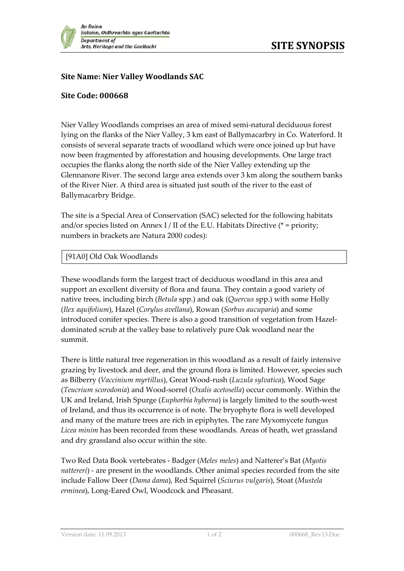

## **Site Name: Nier Valley Woodlands SAC**

## **Site Code: 000668**

Nier Valley Woodlands comprises an area of mixed semi-natural deciduous forest lying on the flanks of the Nier Valley, 3 km east of Ballymacarbry in Co. Waterford. It consists of several separate tracts of woodland which were once joined up but have now been fragmented by afforestation and housing developments. One large tract occupies the flanks along the north side of the Nier Valley extending up the Glennanore River. The second large area extends over 3 km along the southern banks of the River Nier. A third area is situated just south of the river to the east of Ballymacarbry Bridge.

The site is a Special Area of Conservation (SAC) selected for the following habitats and/or species listed on Annex I / II of the E.U. Habitats Directive ( $*$  = priority; numbers in brackets are Natura 2000 codes):

## [91A0] Old Oak Woodlands

These woodlands form the largest tract of deciduous woodland in this area and support an excellent diversity of flora and fauna. They contain a good variety of native trees, including birch (*Betula* spp.) and oak (*Quercus* spp.) with some Holly (*Ilex aquifolium*), Hazel (*Corylus avellana*), Rowan (*Sorbus aucuparia*) and some introduced conifer species. There is also a good transition of vegetation from Hazeldominated scrub at the valley base to relatively pure Oak woodland near the summit.

There is little natural tree regeneration in this woodland as a result of fairly intensive grazing by livestock and deer, and the ground flora is limited. However, species such as Bilberry (*Vaccinium myrtillus*), Great Wood-rush (*Luzula sylvatica*), Wood Sage (*Teucrium scorodonia*) and Wood-sorrel (*Oxalis acetosella*) occur commonly. Within the UK and Ireland, Irish Spurge (*Euphorbia hyberna*) is largely limited to the south-west of Ireland, and thus its occurrence is of note. The bryophyte flora is well developed and many of the mature trees are rich in epiphytes. The rare Myxomycete fungus *Licea minim* has been recorded from these woodlands. Areas of heath, wet grassland and dry grassland also occur within the site.

Two Red Data Book vertebrates - Badger (*Meles meles*) and Natterer's Bat (*Myotis nattereri*) - are present in the woodlands. Other animal species recorded from the site include Fallow Deer (*Dama dama*), Red Squirrel (*Sciurus vulgaris*), Stoat (*Mustela erminea*), Long-Eared Owl, Woodcock and Pheasant.